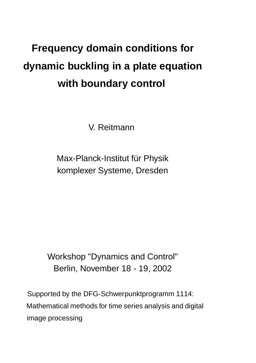# **Frequency domain conditions for dynamic buckling in a plate equation with boundary control**

V. Reitmann

Max-Planck-Institut für Physik komplexer Systeme, Dresden

Workshop "Dynamics and Control" Berlin, November 18 - 19, 2002

Supported by the DFG-Schwerpunktprogramm 1114: Mathematical methods for time series analysis and digital image processing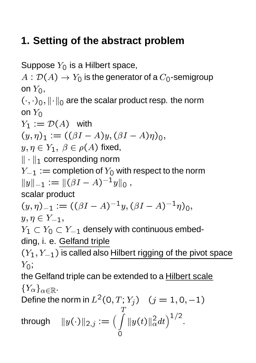# **1. Setting of the abstract problem**

Suppose  $Y_0$  is a Hilbert space,

 $A: \mathcal{D}(A) \rightarrow Y_0$  is the generator of a  $C_0$ -semigroup on  $Y_0$ ,

 $(\cdot,\cdot)_0$ ,  $\|\cdot\|_0$  are the scalar product resp. the norm on  $Y_0$ 

 $Y_1 := \mathcal{D}(A)$  with  $\lambda \frac{\partial}{\partial y}$   $\frac{\partial}{\partial z}$   $\frac{\partial}{\partial \zeta}$   $\frac{\partial}{\partial \zeta}$   $\frac{\partial}{\partial \zeta}$   $\frac{\partial}{\partial \zeta}$   $\frac{\partial}{\partial \zeta}$   $\frac{\partial}{\partial \zeta}$   $\frac{\partial}{\partial \zeta}$   $\frac{\partial}{\partial \zeta}$   $\frac{\partial}{\partial \zeta}$   $\frac{\partial}{\partial \zeta}$   $\frac{\partial}{\partial \zeta}$   $\frac{\partial}{\partial \zeta}$   $\frac{\partial}{\partial \zeta}$   $\frac{\partial}{\partial \zeta}$  $y,\eta\in Y_1,\;\beta\in\rho(A)$  fixed,  $\|\cdot\|_1$  corresponding norm  $Y_{-1} :=$  completion of  $Y_0$  with respect to the norm  $||y||_{-1} := ||(\beta I - A)^{-1}y||_0,$ 

scalar product

$$
(y, \eta)_{-1} := ((\beta I - A)^{-1}y, (\beta I - A)^{-1}\eta)_0,
$$

$$
y,\eta\in Y_{-1},
$$

 $Y_1 \subset Y_0 \subset Y_{-1}$  densely with continuous embedding, i. e. Gelfand triple

 $(Y_1, Y_{-1})$  is called also Hilbert rigging of the pivot space  $Y_0$ ;

the Gelfand triple can be extended to a Hilbert scale  ${Y_\alpha}_{\alpha\in\mathbb{R}}$ .

Define the norm in  $L^2$  $(0, 1, I<sub>j</sub>)$   $(J - 1, 0, -1)$ through  $||y(\cdot)||_{2,j} := \left(\int ||y(t)||_{\alpha}^2 dt\right)$ -  $\left(\frac{2}{\alpha}dt\right)^{1/2}$ .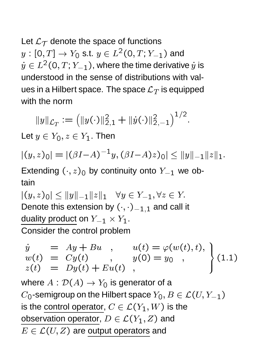Let  $\mathcal{L}_{\mathcal{T}}$  denote the space of functions  $s(y:[0,T]\rightarrow Y_0$  s.t.  $y\in L^2(0,T;Y_0)$  $(0,T;Y_{-1})$  and  $\dot{y}\in L^{2}(0,T;Y_{-1})$ , where the time derivative  $\dot{y}$  is understood in the sense of distributions with values in a Hilbert space. The space  $\mathcal{L}_T$  is equipped with the norm

$$
||y||_{\mathcal{L}_T} := (||y(\cdot)||_{2,1}^2 + ||\dot{y}(\cdot)||_{2,-1}^2)^{1/2}.
$$

Let  $y \in Y_0, z \in Y_1$ . Then

$$
|(y,z)_0|=|(\beta I{-}A)^{-1}y,(\beta I{-}A)z)_0|\leq \|y\|_{-1}\|z\|_1.
$$

Extending  $(\cdot, z)_0$  by continuity onto  $Y_{-1}$  we obtain

 -   Denote this extension by  $(\cdot, \cdot)_{-1,1}$  and call it duality product on  $Y_{-1} \times Y_1$ . Consider the control problem

$$
\begin{array}{rcl}\n\dot{y} & = & Ay + Bu \\
w(t) & = & Cy(t) \\
z(t) & = & Dy(t) + Eu(t) \\
\end{array}, \quad\n\begin{array}{rcl}\nu(t) = & \varphi(w(t), t), \\
y(0) = & y_0, \\
y(0) = & y_0, \\
y(0) = & y_0.\n\end{array}\n\bigg\} \tag{1.1}
$$

where  $A: \mathcal{D}(A) \rightarrow Y_0$  is generator of a  $C_{\mathsf{O}}$ -semigroup on the Hilbert space  $Y_{\mathsf{O}}, B \in \mathcal{L}(U, Y_{\mathsf{-}1})$ is the control operator,  $C \in \mathcal{L}(Y_1,W)$  is the observation operator,  $D\in \mathcal{L}(Y_1,Z)$  and  $E \in \mathcal{L}(U, Z)$  are output operators and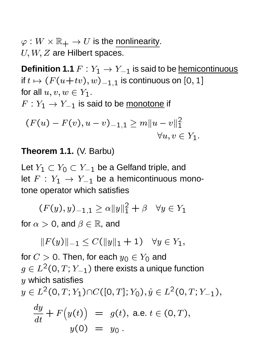$\varphi:W\times\mathbb{R}_+\to U$  is the nonlinearity.  $U, W, Z$  are Hilbert spaces.

**Definition 1.1**  $F: Y_1 \rightarrow Y_{-1}$  is said to be hemicontinuous if  $t\mapsto (F(u+tv),w)_{-1,1}$  is continuous on  $[0,1]$ for all  $u, v, w \in Y_1$ .  $F: Y_1 \rightarrow Y_{-1}$  is said to be monotone if

$$
(F(u) - F(v), u - v)_{-1,1} \ge m||u - v||_1^2
$$
  

$$
\forall u, v \in Y_1.
$$

**Theorem 1.1.** (V. Barbu)

Let  $Y_1 \subset Y_0 \subset Y_{-1}$  be a Gelfand triple, and let  $F: Y_1 \rightarrow Y_{-1}$  be a hemicontinuous monotone operator which satisfies

$$
(F(y), y)_{-1, 1} \ge \alpha ||y||_1^2 + \beta \quad \forall y \in Y_1
$$

for  $\alpha > 0$ , and  $\beta \in \mathbb{R}$ , and

$$
||F(y)||_{-1} \leq C(||y||_1 + 1) \quad \forall y \in Y_1,
$$

for  $C>0.$  Then, for each  $y_{\text{O}}\in Y_{\text{O}}$  and  $g\in L^{2}(0,T;Y_{-1})$  there exists a unique function  $y$  which satisfies

$$
y \in L^2(0, T; Y_1) \cap C([0, T]; Y_0), \dot{y} \in L^2(0, T; Y_{-1}),
$$

$$
\frac{dy}{dt} + F(y(t)) = g(t), \text{ a.e. } t \in (0, T),
$$
  

$$
y(0) = y_0.
$$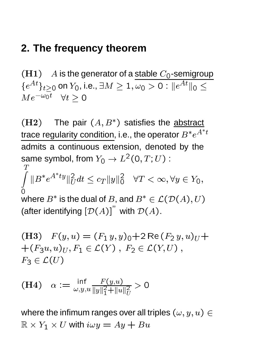## **2. The frequency theorem**

 $(H1)$  A is the generator of a stable  $C_0$ -semigroup  $\{e^{At}\}_{t>0}$  on  $Y_0$ , i.e.,  $\exists M\geq 1, \omega_0>0: \|e^{At}\|_0\leq 1$  $Me^{-\omega_0 t}$   $\forall t \geq 0$ 

 $(H2)$  The pair  $(A, B^*)$  satisfies the abstract trace regularity condition, i.e., the operator  $B^{\ast}e^{A^{\ast}t}$ admits a continuous extension, denoted by the same symbol, from  $Y_{\mathsf{O}} \to L^2(\mathsf{O},T;U)$  : :  $(\cup, I, U)$  .  $\tau$ 

 $\overline{a}$  and  $\overline{a}$  and  $\overline{a}$  and  $\overline{a}$ where  $B^*$  is the dual of  $B$ , and  $B^* \in \mathcal{L}(\mathcal{D}(A),U)$  $||B^*e^{A}||_{II}^2dt \leq c_T$  $U^{III} = I \cup J \cup U$   $=$ - - - - $\bigcup$   $\bigcup$   $\bigcup$   $\bigcup$   $\bigcup$   $\bigcup$   $\bigcup$   $\bigcup$   $\bigcup$   $\bigcup$   $\bigcup$   $\bigcup$   $\bigcup$   $\bigcup$   $\bigcup$   $\bigcup$   $\bigcup$   $\bigcup$   $\bigcup$   $\bigcup$   $\bigcup$   $\bigcup$   $\bigcup$   $\bigcup$   $\bigcup$   $\bigcup$   $\bigcup$   $\bigcup$   $\bigcup$   $\bigcup$   $\bigcup$   $\bigcup$   $\bigcup$   $\bigcup$   $\bigcup$   $\bigcup$   $\bigcup$ 

(after identifying  $[\mathcal{D}(A)]^{\prime}$  with  $\mathcal{D}(A)$ .

- - - 
 - - - - - -  $F_3 \in \mathcal{L}(U)$ 

(H4) 
$$
\alpha := \frac{\inf_{\omega, y, u} \frac{F(y, u)}{\|y\|_1^2 + \|u\|_U^2} > 0
$$

where the infimum ranges over all triples  $(\omega, y, u) \in$  $\mathbb{R} \times Y_1 \times U$  with  $i \omega y = Ay + Bu$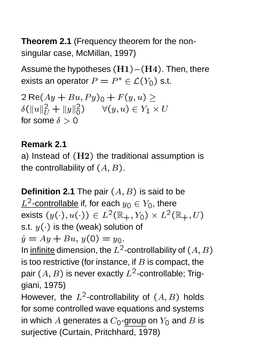**Theorem 2.1** (Frequency theorem for the nonsingular case, McMillan, 1997)

Assume the hypotheses  $\rm(H1){-}(H4)$ . Then, there exists an operator  $P=P^*\in\mathcal{L}(Y_0)$  s.t.

 $\cdots$   $\cdots$   $\cdots$   $\cdots$   $\cdots$   $\cdots$   $\cdots$   $\cdots$   $\cdots$   $\cdots$   $\cdots$   $\cdots$   $\cdots$   $\cdots$   $\cdots$   $\cdots$   $\cdots$   $\cdots$   $\cdots$   $\cdots$   $\cdots$   $\cdots$   $\cdots$   $\cdots$   $\cdots$   $\cdots$   $\cdots$   $\cdots$   $\cdots$   $\cdots$   $\cdots$   $\cdots$   $\cdots$   $\cdots$   $\cdots$   $\cdots$   $\mathcal{O}(||u||_U \pm ||y||_0)$   $\forall (y, u) \in I_1 \times U$ for some  $\delta > 0$ 

#### **Remark 2.1**

a) Instead of  $(H2)$  the traditional assumption is the controllability of  $(A,B)$ .

**Definition 2.1** The pair  $(A, B)$  is said to be  $L^-$ -COHUUIIc -controllable if, for each  $y_\text{O} \in Y_\text{O}$ , there exists  $(y(\cdot),u(\cdot)) \in L^2(\mathbb{R}_+,Y_0) \times L^2(\mathbb{R}_+,U)$ s.t.  $y(\cdot)$  is the (weak) solution of  $J$   $J$   $J$   $J$   $J$   $J$   $J$   $J$ In <u>infinite</u> dimension, the  $L^2$ -controllability of  $(A,B)$ is too restrictive (for instance, if  $B$  is compact, the pair  $(A,B)$  is never exactly  $L^2$ -controllable; Triggiani, 1975)

However, the  $L^2$ -controllability of  $(A, B)$  holds for some controlled wave equations and systems in which  $A$  generates a  $C_{\mathsf{O}}$ -group on  $Y_{\mathsf{O}}$  and  $B$  is surjective (Curtain, Pritchhard, 1978)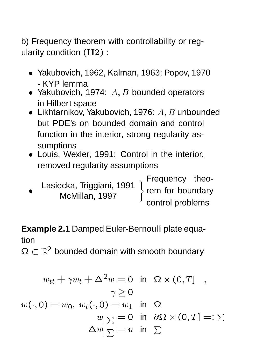b) Frequency theorem with controllability or regularity condition  $(H2)$ :

- Yakubovich, 1962, Kalman, 1963; Popov, 1970 - KYP lemma
- Yakubovich, 1974:  $A, B$  bounded operators in Hilbert space
- Likhtarnikov, Yakubovich, 1976:  $A, B$  unbounded but PDE's on bounded domain and control function in the interior, strong regularity assumptions
- Louis, Wexler, 1991: Control in the interior, removed regularity assumptions

McMillan, 1997 Lasiecka, Triggiani, 1991

McMillan, 1997 Frequency theorem for boundary control problems

**Example 2.1** Damped Euler-Bernoulli plate equation

**SZ (MAC DOUTIGO)** bounded domain with smooth boundary

$$
w_{tt} + \gamma w_t + \Delta^2 w = 0 \text{ in } \Omega \times (0, T],
$$
  
\n
$$
\gamma \ge 0
$$
  
\n
$$
w(\cdot, 0) = w_0, w_t(\cdot, 0) = w_1 \text{ in } \Omega
$$
  
\n
$$
w_{\vert \sum} = 0 \text{ in } \partial\Omega \times (0, T] =: \Sigma
$$
  
\n
$$
\Delta w_{\vert \sum} = u \text{ in } \Sigma
$$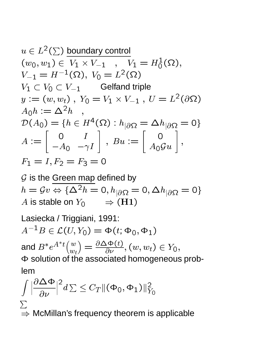$$
u \in L^{2}(\Sigma) \text{ boundary control}
$$
  
\n
$$
(w_{0}, w_{1}) \in V_{1} \times V_{-1} , V_{1} = H_{0}^{1}(\Omega),
$$
  
\n
$$
V_{-1} = H^{-1}(\Omega), V_{0} = L^{2}(\Omega)
$$
  
\n
$$
V_{1} \subset V_{0} \subset V_{-1} \text{ Gelfand triple}
$$
  
\n
$$
y := (w, w_{t}), Y_{0} = V_{1} \times V_{-1}, U = L^{2}(\partial \Omega)
$$
  
\n
$$
A_{0}h := \Delta^{2}h ,
$$
  
\n
$$
\mathcal{D}(A_{0}) = \{h \in H^{4}(\Omega) : h_{|\partial\Omega} = \Delta h_{|\partial\Omega} = 0\}
$$
  
\n
$$
A := \begin{bmatrix} 0 & I \\ -A_{0} & -\gamma I \end{bmatrix}, Bu := \begin{bmatrix} 0 \\ A_{0}Gu \end{bmatrix},
$$
  
\n
$$
F_{1} = I, F_{2} = F_{3} = 0
$$

 $\mathcal G$  is the Green map defined by  $n = yv \Leftrightarrow \{\Delta^{-1}v = 0, h|_{\partial\Omega} = 0, \Delta h|_{\partial\Omega} = 0\}$ A is stable on  $Y_0$   $\Rightarrow$   $(H1)$ 

Lasiecka / Triggiani, 1991:  
\n
$$
A^{-1}B ∈ \mathcal{L}(U, Y_0) = \Phi(t; \Phi_0, \Phi_1)
$$
  
\nand  $B^* e^{A^*t} \binom{w}{w_t} = \frac{\partial \Delta \Phi(t)}{\partial \nu}, (w, w_t) ∈ Y_0,$   
\nΦ solution of the associated homogeneous prob-  
\nlem

$$
\int \left| \frac{\partial \Delta \Phi}{\partial \nu} \right|^2 d\Sigma \leq C_T \|(\Phi_0, \Phi_1)\|_{Y_0}^2
$$
  

$$
\sum_{n=1}^{\infty} \Delta \Phi_n
$$
 McMillan's frequency theorem is applicable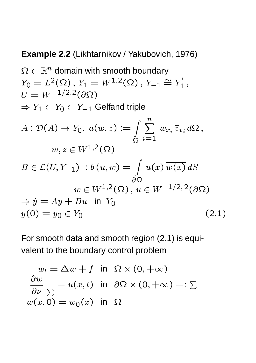#### **Example 2.2** (Likhtarnikov / Yakubovich, 1976)

$$
\Omega \subset \mathbb{R}^n \text{ domain with smooth boundary}
$$
\n
$$
Y_0 = L^2(\Omega), Y_1 = W^{1,2}(\Omega), Y_{-1} \cong Y'_1,
$$
\n
$$
U = W^{-1/2,2}(\partial \Omega)
$$
\n
$$
\Rightarrow Y_1 \subset Y_0 \subset Y_{-1} \text{ Gelfand triple}
$$
\n
$$
A: \mathcal{D}(A) \to Y_0, a(w, z) := \int_{\Omega} \sum_{i=1}^n w_{x_i} \bar{z}_{x_i} d\Omega,
$$
\n
$$
w, z \in W^{1,2}(\Omega)
$$
\n
$$
B \in \mathcal{L}(U, Y_{-1}) : b(u, w) = \int_{\partial \Omega} u(x) \overline{w(x)} dS
$$
\n
$$
w \in W^{1,2}(\Omega), u \in W^{-1/2,2}(\partial \Omega)
$$
\n
$$
\Rightarrow \dot{y} = Ay + Bu \text{ in } Y_0
$$
\n
$$
y(0) = y_0 \in Y_0
$$
\n(2.1)

For smooth data and smooth region (2.1) is equivalent to the boundary control problem

$$
w_t = \Delta w + f \text{ in } \Omega \times (0, +\infty)
$$
  
\n
$$
\frac{\partial w}{\partial \nu} \geq u(x, t) \text{ in } \partial \Omega \times (0, +\infty) =: \Sigma
$$
  
\n
$$
w(x, 0) = w_0(x) \text{ in } \Omega
$$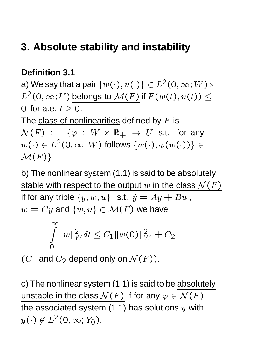# **3. Absolute stability and instability**

#### **Definition 3.1**

a) We say that a pair  $\{w(\cdot),u(\cdot)\}\in L^2(0,\infty;W)\times$  $L^2(0,\infty;U)$  belongs to  $\mathcal{M}(F)$  if  $F(w(t),u(t))\leq 1$ 0 for a.e.  $t > 0$ .

The class of nonlinearities defined by  $F$  is  ${\mathcal N}(F) \ := \ \{ \varphi \ : \ W \times {\mathbb R}_+ \ \to \ U \ \text{ s.t. \ for any}$  $w(\cdot)\in L^2(0,\infty; W)$  follows  $\{w(\cdot),\varphi(w(\cdot))\}\in\mathbb{R}$ -

b) The nonlinear system (1.1) is said to be absolutely stable with respect to the output  $w$  in the class  $\mathcal{N}(F)$ if for any triple  $\{y,w,u\}$  s.t.  $\dot{y}=Ay+Bu$  ,  $w = Cy$  and  $\{w, u\} \in \mathcal{M}(F)$  we have

$$
\int_{0}^{\infty} \|w\|_{W}^{2} dt \leq C_{1} \|w(0)\|_{W}^{2} + C_{2}
$$

 $(C_1$  and  $C_2$  depend only on  $\mathcal{N}(F)).$ 

c) The nonlinear system (1.1) is said to be absolutely unstable in the class  $\mathcal{N}(F)$  if for any  $\varphi\in\mathcal{N}(F)$ the associated system  $(1.1)$  has solutions  $y$  with  $y(\cdot) \not\in L^2(0,\infty;Y_0)$ .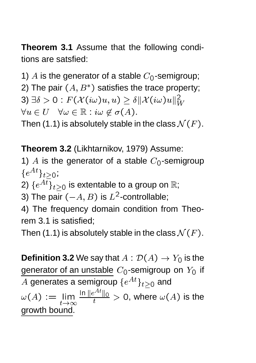**Theorem 3.1** Assume that the following conditions are satsfied:

1) A is the generator of a stable  $C_0$ -semigroup; 2) The pair  $(A, B^*)$  satisfies the trace property;  $\mathcal{B}(3) \: \exists \delta > 0: F(\mathcal{X}(i\omega)u,u) \geq \delta \|\mathcal{X}(i\omega)u\|_{W}^{2}$ 

 $\forall u \in U \quad \forall \omega \in \mathbb{R} : i\omega \notin \sigma(A).$ 

Then (1.1) is absolutely stable in the class  $\mathcal{N}(F).$ 

**Theorem 3.2** (Likhtarnikov, 1979) Assume:

1) A is the generator of a stable  $C_0$ -semigroup  $\{e^{At}\}_{t>0}$ 

2)  $\{e^{A\overline{t}}\}_{t>0}$  is extentable to a group on  $\mathbb{R}$ ;

3) The pair  $(-A,B)$  is  $L^2\text{-}\mathsf{cc}$ -controllable;

4) The frequency domain condition from Theorem 3.1 is satisfied;

Then (1.1) is absolutely stable in the class  $\mathcal{N}(F).$ 

**Definition 3.2** We say that  $A:\mathcal{D}(A)\rightarrow Y_0$  is the generator of an unstable  $C_{\mathsf{O}}$ -semigroup on  $Y_{\mathsf{O}}$  if A generates a semigroup  $\{e^{At}\}_{t>0}$  and !-  $\frac{\ln \|e^{\epsilon-1}\|_0}{t}>0,$  where  $\omega(A)$  is the growth bound.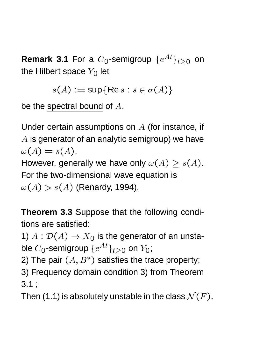**Remark 3.1** For a  $C_0$ -semigroup  $\{e^{At}\}_{t>0}$  on the Hilbert space  $Y_0$  let

2-  <sup>2</sup> <sup>2</sup> 1-

be the spectral bound of  $A$ .

Under certain assumptions on  $A$  (for instance, if  $\Lambda$  is generator of an analytic semigroup) we have  $\omega(A) = s(A).$ However, generally we have only  $\omega(A) \geq s(A).$ 

For the two-dimensional wave equation is  $\omega(A) > s(A)$  (Renardy, 1994).

**Theorem 3.3** Suppose that the following conditions are satisfied:

1)  $A: \mathcal{D}(A) \rightarrow X_0$  is the generator of an unstable  $C_{\mathbf{0}}$ -semigroup  $\{e^{At}\}_{t\geq 0}$  on  $Y_{\mathbf{0}};$  .

2) The pair  $(A, B^*)$  satisfies the trace property;

3) Frequency domain condition 3) from Theorem 3.1 ;

Then (1.1) is absolutely unstable in the class  ${\cal N}(F).$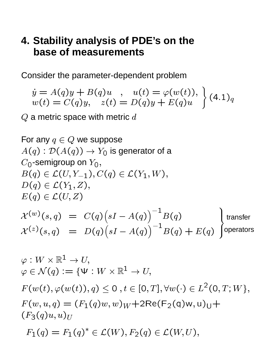### **4. Stability analysis of PDE's on the base of measurements**

Consider the parameter-dependent problem

$$
\begin{array}{l}\n\dot{y} = A(q)y + B(q)u, \quad u(t) = \varphi(w(t)), \\
w(t) = C(q)y, \quad z(t) = D(q)y + E(q)u\n\end{array} (4.1)_q
$$

 $Q$  a metric space with metric  $d$ 

For any  $q \in Q$  we suppose  $A(q):{\mathcal D}(A(q))\to Y_0$  is generator of a  $C_{\mathsf{O}}$ -semigroup on  $Y_{\mathsf{O}},$  $-$  (1)  $-$  (-1),  $-$  (1)  $-$  (-1)  $\cdot$  ( )  $\langle 1 \rangle$   $\langle -1 \rangle$   $\langle 1 \rangle$ 4- - $A^{\vee}$  (5,9)  $\cup$   $(9)$   $S1 - A$   $\setminus -1$   $\ldots$ 4-  $\lambda$   $(8, 4)$   $U(9)$   $S1 - A($  2 4- $\lambda - 1$   $\lambda$   $\lambda$ 4- 4 the contract of the contract of the contract of the contract of the contract of the contract of the contract of  $l$  tropofor **TUPCIQIUIS** transfer operators  $\varphi: W \times \mathbb{R}^1 \to U$  $\varphi \in \mathcal{N}(q)$  .  $\longrightarrow$  3  $\Psi$  . W  $\times$  10  $^{-}$   $\longrightarrow$   $U$ ,

 $F(W(U),\varphi(W(U)),q) \le U, t \in [0,1], \forall W(\cdot) \in L$  (0, 1, W f,  $\langle \infty, \infty, 1 \rangle$   $\langle \sim 1 \setminus 1 \rangle$   $\infty$   $\langle \infty, \infty \rangle$   $\langle \gamma \rangle$   $\langle \gamma \rangle$   $\langle \sim 1 \rangle$   $\langle \sim 1 \rangle$   $\langle \sim 1 \rangle$  $\sqrt{-}$   $\frac{1}{2}$   $\sqrt{4}$   $\frac{1}{2}$   $\frac{1}{2}$   $\frac{1}{2}$   $\frac{1}{2}$   $\frac{1}{2}$   $\frac{1}{2}$   $\frac{1}{2}$   $\frac{1}{2}$   $\frac{1}{2}$   $\frac{1}{2}$   $\frac{1}{2}$   $\frac{1}{2}$   $\frac{1}{2}$   $\frac{1}{2}$   $\frac{1}{2}$   $\frac{1}{2}$   $\frac{1}{2}$   $\frac{1}{2}$   $\frac{1}{2}$   $\frac{1}{$ 

 $-1(1) - 1(1) - (-1)$ . . . . . .  $\sim$   $($   $\cdot$   $)$   $\cdot$   $=$   $\sim$   $($   $\cdot$   $)$   $\sim$   $\cdot$   $\cdot$   $\cdot$   $\cdot$   $\sim$   $\cdot$   $\cdot$   $\cdot$   $\cdot$   $\sim$   $\cdot$   $\cdot$   $\cdot$   $\cdot$   $\sim$   $\cdot$   $\cdot$   $\cdot$   $\sim$   $\cdot$   $\cdot$   $\cdot$   $\sim$   $\cdot$   $\cdot$   $\sim$   $\cdot$   $\cdot$   $\sim$   $\cdot$   $\cdot$   $\sim$   $\cdot$   $\cdot$